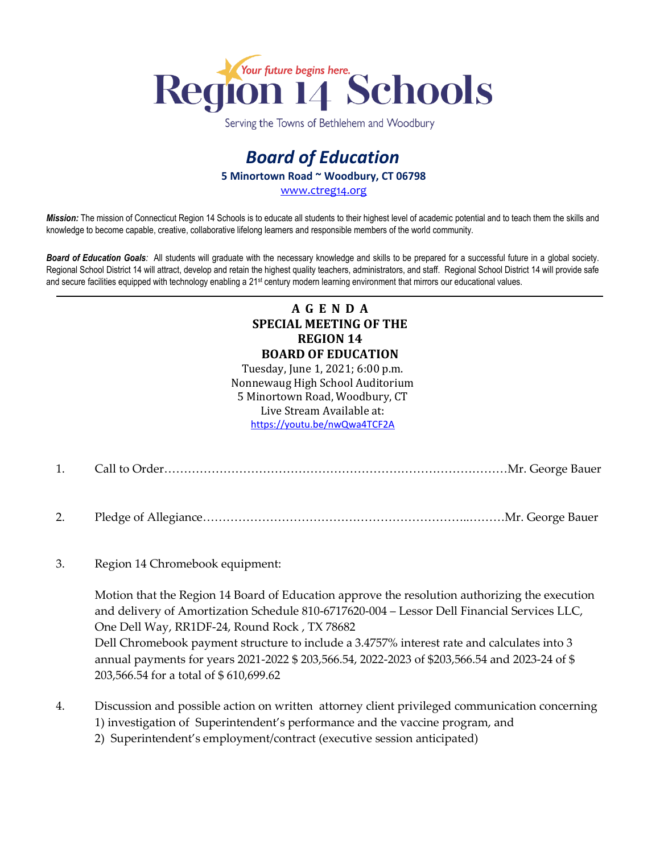

Serving the Towns of Bethlehem and Woodbury

## *Board of Education* **5 Minortown Road ~ Woodbury, CT 06798**

[www.ctreg14.org](http://www.ctreg14.org/)

*Mission:* The mission of Connecticut Region 14 Schools is to educate all students to their highest level of academic potential and to teach them the skills and knowledge to become capable, creative, collaborative lifelong learners and responsible members of the world community.

*Board of Education Goals:* All students will graduate with the necessary knowledge and skills to be prepared for a successful future in a global society. Regional School District 14 will attract, develop and retain the highest quality teachers, administrators, and staff. Regional School District 14 will provide safe and secure facilities equipped with technology enabling a 21<sup>st</sup> century modern learning environment that mirrors our educational values.

## **A G E N D A SPECIAL MEETING OF THE REGION 14 BOARD OF EDUCATION**

Tuesday, June 1, 2021; 6:00 p.m. Nonnewaug High School Auditorium 5 Minortown Road, Woodbury, CT Live Stream Available at: <https://youtu.be/nwQwa4TCF2A>

- 1. Call to Order……………………………………………………………………………Mr. George Bauer
- 2. Pledge of Allegiance…………………………………………………………..………Mr. George Bauer
- 3. Region 14 Chromebook equipment:

Motion that the Region 14 Board of Education approve the resolution authorizing the execution and delivery of Amortization Schedule 810-6717620-004 – Lessor Dell Financial Services LLC, One Dell Way, RR1DF-24, Round Rock , TX 78682 Dell Chromebook payment structure to include a 3.4757% interest rate and calculates into 3 annual payments for years 2021-2022 \$ 203,566.54, 2022-2023 of \$203,566.54 and 2023-24 of \$ 203,566.54 for a total of \$ 610,699.62

- 4. Discussion and possible action on written attorney client privileged communication concerning 1) investigation of Superintendent's performance and the vaccine program, and
	- 2) Superintendent's employment/contract (executive session anticipated)